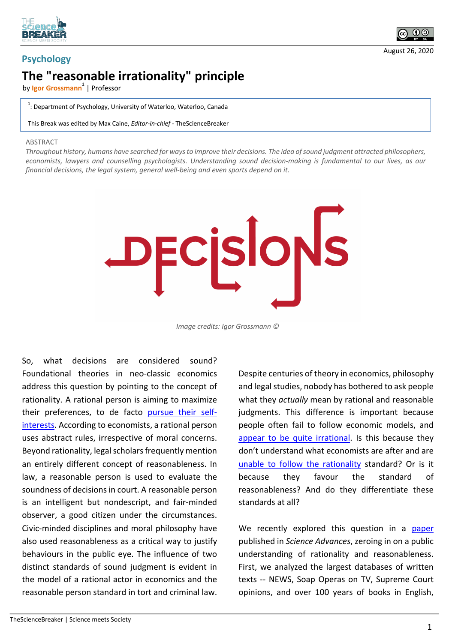



## **The "reasonable irrationality" principle**

by lgor Grossmann<sup>1</sup> | Professor

 $1$ : Department of Psychology, University of Waterloo, Waterloo, Canada

This Break was edited by Max Caine, *Editor-in-chief* - TheScienceBreaker

## ABSTRACT

*Throughout history, humans have searched for ways to improve their decisions. The idea of sound judgment attracted philosophers, economists, lawyers and counselling psychologists. Understanding sound decision-making is fundamental to our lives, as our financial decisions, the legal system, general well-being and even sports depend on it.*



*Image credits: Igor Grossmann ©*

So, what decisions are considered sound? Foundational theories in neo-classic economics address this question by pointing to the concept of rationality. A rational person is aiming to maximize their preferences, to de facto pursue their selfinterests. According to economists, a rational person uses abstract rules, irrespective of moral concerns. Beyond rationality, legal scholars frequently mention an entirely different concept of reasonableness. In law, a reasonable person is used to evaluate the soundness of decisions in court. A reasonable person is an intelligent but nondescript, and fair-minded observer, a good citizen under the circumstances. Civic-minded disciplines and moral philosophy have also used reasonableness as a critical way to justify behaviours in the public eye. The influence of two distinct standards of sound judgment is evident in the model of a rational actor in economics and the reasonable person standard in tort and criminal law.

Despite centuries of theory in economics, philosophy and legal studies, nobody has bothered to ask people what they *actually* mean by rational and reasonable judgments. This difference is important because people often fail to follow economic models, and appear to be quite irrational. Is this because they don't understand what economists are after and are unable to follow the rationality standard? Or is it because they favour the standard of reasonableness? And do they differentiate these standards at all?

We recently explored this question in a paper published in *Science Advances*, zeroing in on a public understanding of rationality and reasonableness. First, we analyzed the largest databases of written texts -- NEWS, Soap Operas on TV, Supreme Court opinions, and over 100 years of books in English,

കര